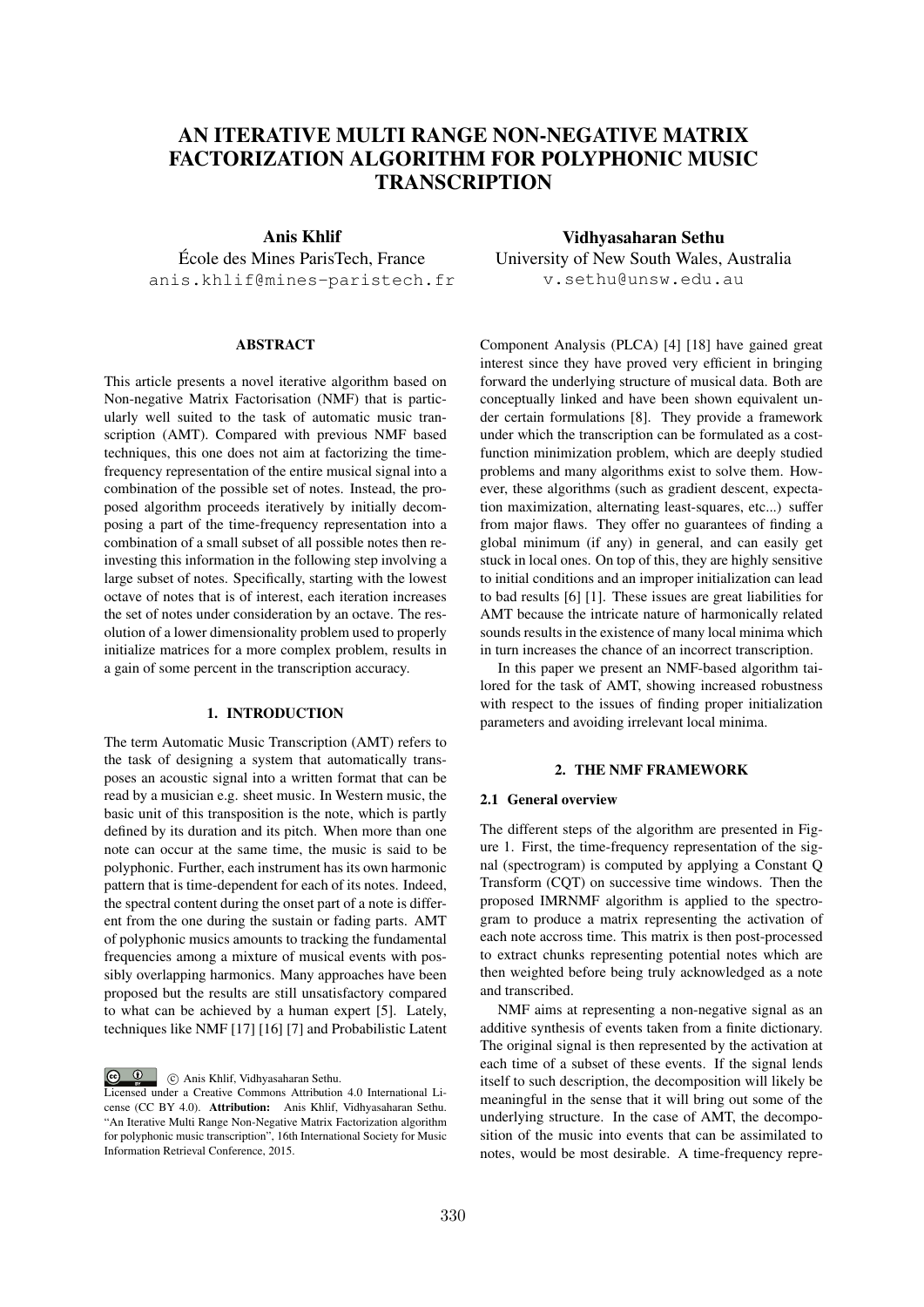# AN ITERATIVE MULTI RANGE NON-NEGATIVE MATRIX FACTORIZATION ALGORITHM FOR POLYPHONIC MUSIC **TRANSCRIPTION**

# Anis Khlif

Ecole des Mines ParisTech, France ´ anis.khlif@mines-paristech.fr

#### ABSTRACT

This article presents a novel iterative algorithm based on Non-negative Matrix Factorisation (NMF) that is particularly well suited to the task of automatic music transcription (AMT). Compared with previous NMF based techniques, this one does not aim at factorizing the timefrequency representation of the entire musical signal into a combination of the possible set of notes. Instead, the proposed algorithm proceeds iteratively by initially decomposing a part of the time-frequency representation into a combination of a small subset of all possible notes then reinvesting this information in the following step involving a large subset of notes. Specifically, starting with the lowest octave of notes that is of interest, each iteration increases the set of notes under consideration by an octave. The resolution of a lower dimensionality problem used to properly initialize matrices for a more complex problem, results in a gain of some percent in the transcription accuracy.

### 1. INTRODUCTION

The term Automatic Music Transcription (AMT) refers to the task of designing a system that automatically transposes an acoustic signal into a written format that can be read by a musician e.g. sheet music. In Western music, the basic unit of this transposition is the note, which is partly defined by its duration and its pitch. When more than one note can occur at the same time, the music is said to be polyphonic. Further, each instrument has its own harmonic pattern that is time-dependent for each of its notes. Indeed, the spectral content during the onset part of a note is different from the one during the sustain or fading parts. AMT of polyphonic musics amounts to tracking the fundamental frequencies among a mixture of musical events with possibly overlapping harmonics. Many approaches have been proposed but the results are still unsatisfactory compared to what can be achieved by a human expert [5]. Lately, techniques like NMF [17] [16] [7] and Probabilistic Latent

 $\circ$   $\circ$ c Anis Khlif, Vidhyasaharan Sethu.

Vidhyasaharan Sethu University of New South Wales, Australia v.sethu@unsw.edu.au

Component Analysis (PLCA) [4] [18] have gained great interest since they have proved very efficient in bringing forward the underlying structure of musical data. Both are conceptually linked and have been shown equivalent under certain formulations [8]. They provide a framework under which the transcription can be formulated as a costfunction minimization problem, which are deeply studied problems and many algorithms exist to solve them. However, these algorithms (such as gradient descent, expectation maximization, alternating least-squares, etc...) suffer from major flaws. They offer no guarantees of finding a global minimum (if any) in general, and can easily get stuck in local ones. On top of this, they are highly sensitive to initial conditions and an improper initialization can lead to bad results [6] [1]. These issues are great liabilities for AMT because the intricate nature of harmonically related sounds results in the existence of many local minima which in turn increases the chance of an incorrect transcription.

In this paper we present an NMF-based algorithm tailored for the task of AMT, showing increased robustness with respect to the issues of finding proper initialization parameters and avoiding irrelevant local minima.

#### 2. THE NMF FRAMEWORK

#### 2.1 General overview

The different steps of the algorithm are presented in Figure 1. First, the time-frequency representation of the signal (spectrogram) is computed by applying a Constant Q Transform (CQT) on successive time windows. Then the proposed IMRNMF algorithm is applied to the spectrogram to produce a matrix representing the activation of each note accross time. This matrix is then post-processed to extract chunks representing potential notes which are then weighted before being truly acknowledged as a note and transcribed.

NMF aims at representing a non-negative signal as an additive synthesis of events taken from a finite dictionary. The original signal is then represented by the activation at each time of a subset of these events. If the signal lends itself to such description, the decomposition will likely be meaningful in the sense that it will bring out some of the underlying structure. In the case of AMT, the decomposition of the music into events that can be assimilated to notes, would be most desirable. A time-frequency repre-

Licensed under a Creative Commons Attribution 4.0 International License (CC BY 4.0). Attribution: Anis Khlif, Vidhyasaharan Sethu. "An Iterative Multi Range Non-Negative Matrix Factorization algorithm for polyphonic music transcription", 16th International Society for Music Information Retrieval Conference, 2015.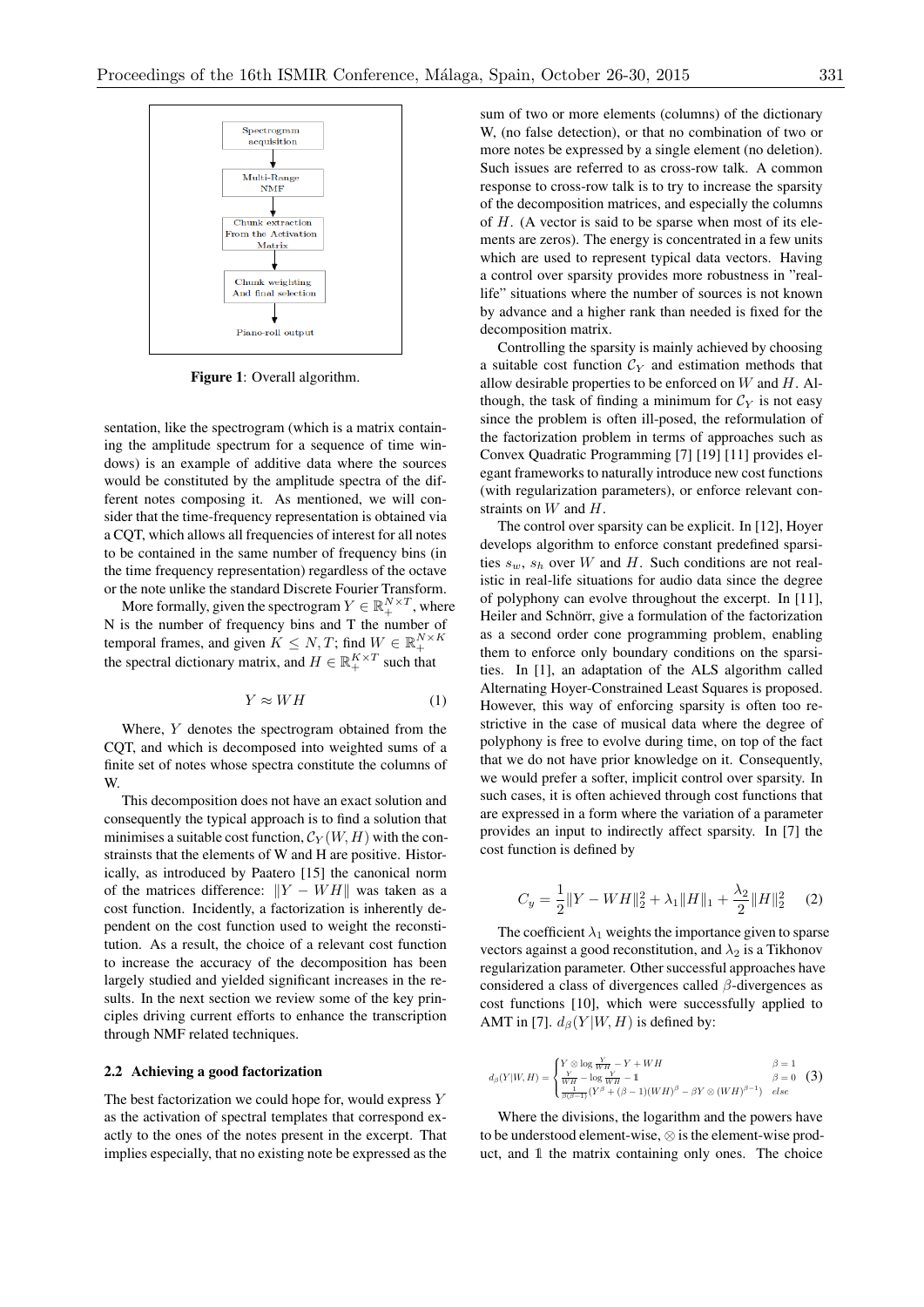

Figure 1: Overall algorithm.

sentation, like the spectrogram (which is a matrix containing the amplitude spectrum for a sequence of time windows) is an example of additive data where the sources would be constituted by the amplitude spectra of the different notes composing it. As mentioned, we will consider that the time-frequency representation is obtained via a CQT, which allows all frequencies of interest for all notes to be contained in the same number of frequency bins (in the time frequency representation) regardless of the octave or the note unlike the standard Discrete Fourier Transform.

More formally, given the spectrogram  $Y \in \mathbb{R}^{N \times T}_{+}$ , where N is the number of frequency bins and T the number of temporal frames, and given  $K \leq N, T$ ; find  $W \in \mathbb{R}_+^{N \times K}$ the spectral dictionary matrix, and  $H \in \mathbb{R}_+^{K \times T}$  such that

$$
Y \approx WH \tag{1}
$$

Where, *Y* denotes the spectrogram obtained from the CQT, and which is decomposed into weighted sums of a finite set of notes whose spectra constitute the columns of W.

This decomposition does not have an exact solution and consequently the typical approach is to find a solution that minimises a suitable cost function,  $\mathcal{C}_Y(W, H)$  with the constrainsts that the elements of W and H are positive. Historically, as introduced by Paatero [15] the canonical norm of the matrices difference:  $\|Y - WH\|$  was taken as a cost function. Incidently, a factorization is inherently dependent on the cost function used to weight the reconstitution. As a result, the choice of a relevant cost function to increase the accuracy of the decomposition has been largely studied and yielded significant increases in the results. In the next section we review some of the key principles driving current efforts to enhance the transcription through NMF related techniques.

#### 2.2 Achieving a good factorization

The best factorization we could hope for, would express *Y* as the activation of spectral templates that correspond exactly to the ones of the notes present in the excerpt. That implies especially, that no existing note be expressed as the sum of two or more elements (columns) of the dictionary W, (no false detection), or that no combination of two or more notes be expressed by a single element (no deletion). Such issues are referred to as cross-row talk. A common response to cross-row talk is to try to increase the sparsity of the decomposition matrices, and especially the columns of *H*. (A vector is said to be sparse when most of its elements are zeros). The energy is concentrated in a few units which are used to represent typical data vectors. Having a control over sparsity provides more robustness in "reallife" situations where the number of sources is not known by advance and a higher rank than needed is fixed for the decomposition matrix.

Controlling the sparsity is mainly achieved by choosing a suitable cost function  $\mathcal{C}_Y$  and estimation methods that allow desirable properties to be enforced on *W* and *H*. Although, the task of finding a minimum for  $C_Y$  is not easy since the problem is often ill-posed, the reformulation of the factorization problem in terms of approaches such as Convex Quadratic Programming [7] [19] [11] provides elegant frameworks to naturally introduce new cost functions (with regularization parameters), or enforce relevant constraints on *W* and *H*.

The control over sparsity can be explicit. In [12], Hoyer develops algorithm to enforce constant predefined sparsities  $s_w$ ,  $s_h$  over *W* and *H*. Such conditions are not realistic in real-life situations for audio data since the degree of polyphony can evolve throughout the excerpt. In [11], Heiler and Schnörr, give a formulation of the factorization as a second order cone programming problem, enabling them to enforce only boundary conditions on the sparsities. In [1], an adaptation of the ALS algorithm called Alternating Hoyer-Constrained Least Squares is proposed. However, this way of enforcing sparsity is often too restrictive in the case of musical data where the degree of polyphony is free to evolve during time, on top of the fact that we do not have prior knowledge on it. Consequently, we would prefer a softer, implicit control over sparsity. In such cases, it is often achieved through cost functions that are expressed in a form where the variation of a parameter provides an input to indirectly affect sparsity. In [7] the cost function is defined by

$$
C_y = \frac{1}{2} ||Y - WH||_2^2 + \lambda_1 ||H||_1 + \frac{\lambda_2}{2} ||H||_2^2 \quad (2)
$$

The coefficient  $\lambda_1$  weights the importance given to sparse vectors against a good reconstitution, and  $\lambda_2$  is a Tikhonov regularization parameter. Other successful approaches have considered a class of divergences called  $\beta$ -divergences as cost functions [10], which were successfully applied to AMT in [7].  $d_{\beta}(Y|W, H)$  is defined by:

$$
d_{\beta}(Y|W,H) = \begin{cases} Y \otimes \log \frac{Y}{WH} - Y + WH & \beta = 1 \\ \frac{Y}{WH} - \log \frac{Y}{WH} - 1 & \beta = 0 \\ \frac{1}{\beta(\beta - 1)} (Y^{\beta} + (\beta - 1)(WH)^{\beta} - \beta Y \otimes (WH)^{\beta - 1}) & else \end{cases}
$$
(3)

Where the divisions, the logarithm and the powers have to be understood element-wise,  $\otimes$  is the element-wise product, and 1 the matrix containing only ones. The choice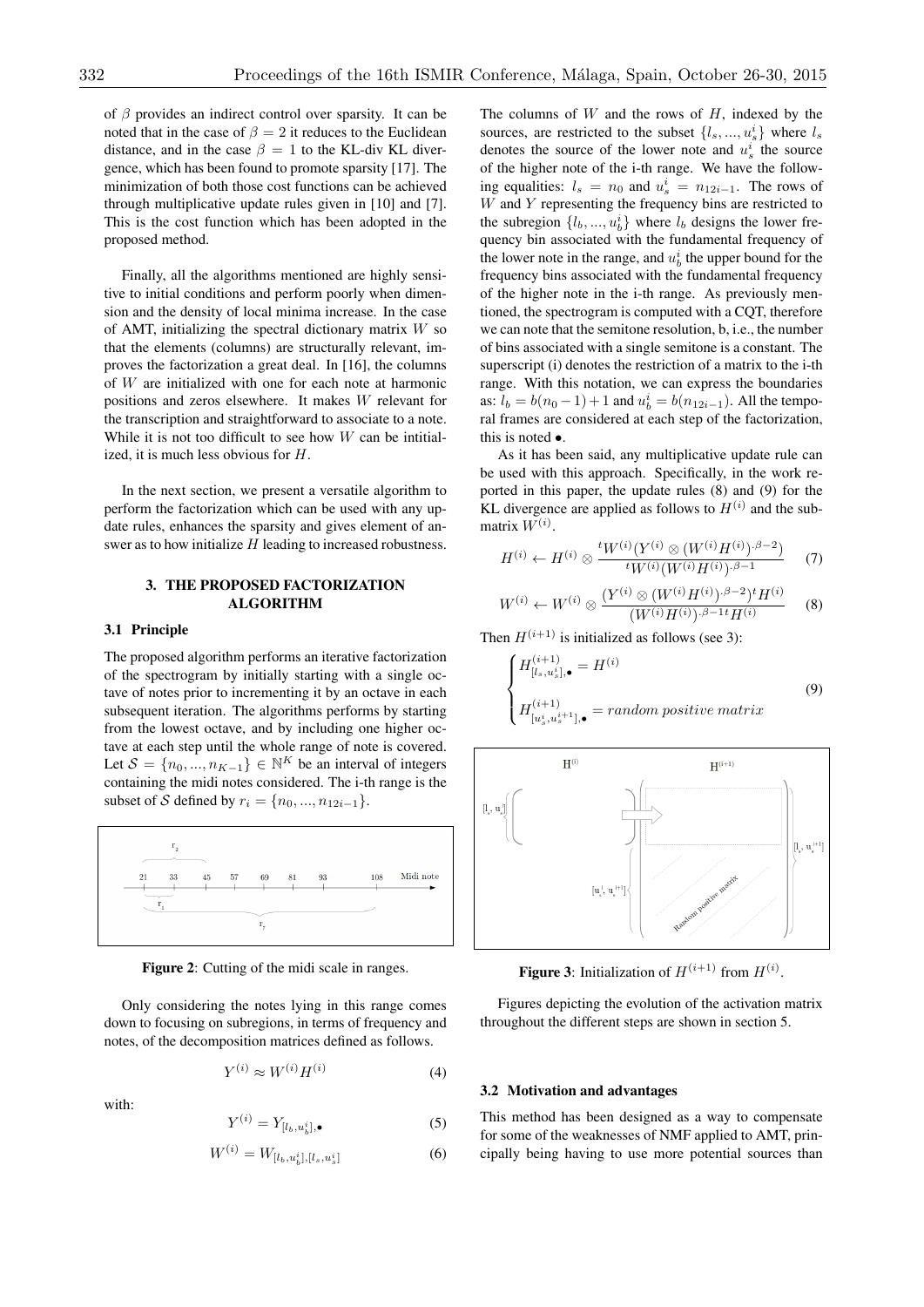of  $\beta$  provides an indirect control over sparsity. It can be noted that in the case of  $\beta = 2$  it reduces to the Euclidean distance, and in the case  $\beta = 1$  to the KL-div KL divergence, which has been found to promote sparsity [17]. The minimization of both those cost functions can be achieved through multiplicative update rules given in [10] and [7]. This is the cost function which has been adopted in the proposed method.

Finally, all the algorithms mentioned are highly sensitive to initial conditions and perform poorly when dimension and the density of local minima increase. In the case of AMT, initializing the spectral dictionary matrix *W* so that the elements (columns) are structurally relevant, improves the factorization a great deal. In [16], the columns of *W* are initialized with one for each note at harmonic positions and zeros elsewhere. It makes *W* relevant for the transcription and straightforward to associate to a note. While it is not too difficult to see how *W* can be intitialized, it is much less obvious for *H*.

In the next section, we present a versatile algorithm to perform the factorization which can be used with any update rules, enhances the sparsity and gives element of answer as to how initialize *H* leading to increased robustness.

### 3. THE PROPOSED FACTORIZATION ALGORITHM

#### 3.1 Principle

The proposed algorithm performs an iterative factorization of the spectrogram by initially starting with a single octave of notes prior to incrementing it by an octave in each subsequent iteration. The algorithms performs by starting from the lowest octave, and by including one higher octave at each step until the whole range of note is covered. Let  $S = \{n_0, ..., n_{K-1}\}\in \mathbb{N}^K$  be an interval of integers containing the midi notes considered. The i-th range is the subset of *S* defined by  $r_i = \{n_0, ..., n_{12i-1}\}.$ 



Figure 2: Cutting of the midi scale in ranges.

Only considering the notes lying in this range comes down to focusing on subregions, in terms of frequency and notes, of the decomposition matrices defined as follows.

$$
Y^{(i)} \approx W^{(i)} H^{(i)} \tag{4}
$$

with:

$$
Y^{(i)} = Y_{[l_b, u_b^i], \bullet} \tag{5}
$$

$$
W^{(i)} = W_{[l_b, u_b^i], [l_s, u_s^i]} \tag{6}
$$

The columns of *W* and the rows of *H*, indexed by the sources, are restricted to the subset  $\{l_s, ..., u_s^i\}$  where  $l_s$ denotes the source of the lower note and  $u_s^i$  the source of the higher note of the i-th range. We have the following equalities:  $l_s = n_0$  and  $u_s^i = n_{12i-1}$ . The rows of *W* and *Y* representing the frequency bins are restricted to the subregion  $\{l_b, ..., u_b^i\}$  where  $l_b$  designs the lower frequency bin associated with the fundamental frequency of the lower note in the range, and  $u_b^i$  the upper bound for the frequency bins associated with the fundamental frequency of the higher note in the i-th range. As previously mentioned, the spectrogram is computed with a CQT, therefore we can note that the semitone resolution, b, i.e., the number of bins associated with a single semitone is a constant. The superscript (i) denotes the restriction of a matrix to the i-th range. With this notation, we can express the boundaries as:  $l_b = b(n_0 - 1) + 1$  and  $u_b^i = b(n_{12i-1})$ . All the temporal frames are considered at each step of the factorization, this is noted *•*.

As it has been said, any multiplicative update rule can be used with this approach. Specifically, in the work reported in this paper, the update rules (8) and (9) for the KL divergence are applied as follows to  $H^{(i)}$  and the submatrix  $W^{(i)}$ .

$$
H^{(i)} \leftarrow H^{(i)} \otimes \frac{^t W^{(i)}(Y^{(i)} \otimes (W^{(i)} H^{(i)}) \cdot \beta - 2)}{^t W^{(i)}(W^{(i)} H^{(i)}) \cdot \beta - 1}
$$
 (7)

$$
W^{(i)} \leftarrow W^{(i)} \otimes \frac{(Y^{(i)} \otimes (W^{(i)} H^{(i)})^{\cdot \beta - 2})^t H^{(i)}}{(W^{(i)} H^{(i)})^{\cdot \beta - 1} t H^{(i)}} \qquad (8)
$$

Then  $H^{(i+1)}$  is initialized as follows (see 3):

$$
\begin{cases}\nH_{[l_s, u_s^i], \bullet}^{(i+1)} = H^{(i)} \\
H_{[u_s^i, u_s^{i+1}], \bullet}^{(i+1)} = \text{random positive matrix}\n\end{cases} \tag{9}
$$



**Figure 3:** Initialization of  $H^{(i+1)}$  from  $H^{(i)}$ .

Figures depicting the evolution of the activation matrix throughout the different steps are shown in section 5.

#### 3.2 Motivation and advantages

This method has been designed as a way to compensate for some of the weaknesses of NMF applied to AMT, principally being having to use more potential sources than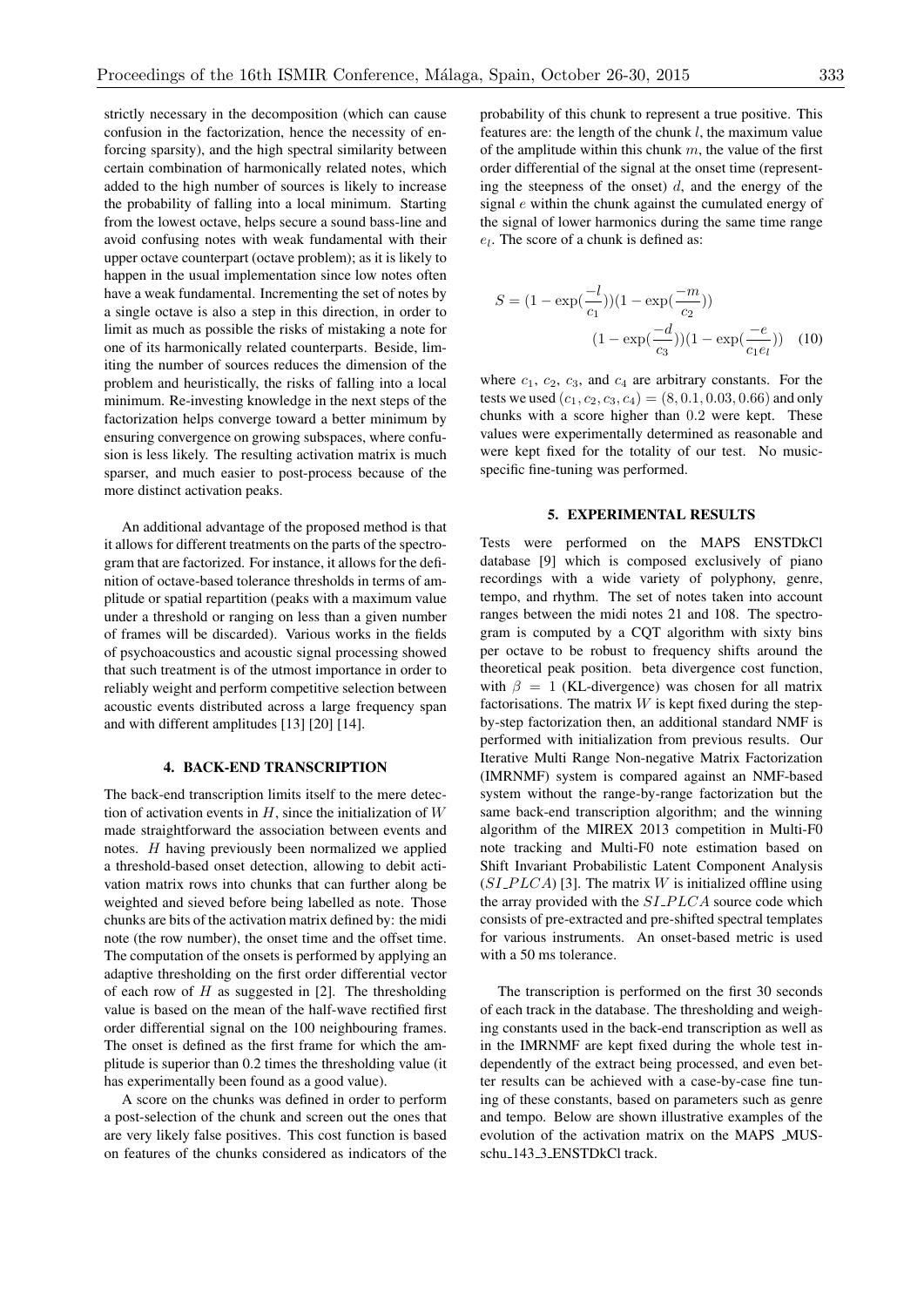strictly necessary in the decomposition (which can cause confusion in the factorization, hence the necessity of enforcing sparsity), and the high spectral similarity between certain combination of harmonically related notes, which added to the high number of sources is likely to increase the probability of falling into a local minimum. Starting from the lowest octave, helps secure a sound bass-line and avoid confusing notes with weak fundamental with their upper octave counterpart (octave problem); as it is likely to happen in the usual implementation since low notes often have a weak fundamental. Incrementing the set of notes by a single octave is also a step in this direction, in order to limit as much as possible the risks of mistaking a note for one of its harmonically related counterparts. Beside, limiting the number of sources reduces the dimension of the problem and heuristically, the risks of falling into a local minimum. Re-investing knowledge in the next steps of the

factorization helps converge toward a better minimum by ensuring convergence on growing subspaces, where confusion is less likely. The resulting activation matrix is much sparser, and much easier to post-process because of the more distinct activation peaks.

An additional advantage of the proposed method is that it allows for different treatments on the parts of the spectrogram that are factorized. For instance, it allows for the definition of octave-based tolerance thresholds in terms of amplitude or spatial repartition (peaks with a maximum value under a threshold or ranging on less than a given number of frames will be discarded). Various works in the fields of psychoacoustics and acoustic signal processing showed that such treatment is of the utmost importance in order to reliably weight and perform competitive selection between acoustic events distributed across a large frequency span and with different amplitudes [13] [20] [14].

## 4. BACK-END TRANSCRIPTION

The back-end transcription limits itself to the mere detection of activation events in *H*, since the initialization of *W* made straightforward the association between events and notes. *H* having previously been normalized we applied a threshold-based onset detection, allowing to debit activation matrix rows into chunks that can further along be weighted and sieved before being labelled as note. Those chunks are bits of the activation matrix defined by: the midi note (the row number), the onset time and the offset time. The computation of the onsets is performed by applying an adaptive thresholding on the first order differential vector of each row of *H* as suggested in [2]. The thresholding value is based on the mean of the half-wave rectified first order differential signal on the 100 neighbouring frames. The onset is defined as the first frame for which the amplitude is superior than 0.2 times the thresholding value (it has experimentally been found as a good value).

A score on the chunks was defined in order to perform a post-selection of the chunk and screen out the ones that are very likely false positives. This cost function is based on features of the chunks considered as indicators of the probability of this chunk to represent a true positive. This features are: the length of the chunk *l*, the maximum value of the amplitude within this chunk *m*, the value of the first order differential of the signal at the onset time (representing the steepness of the onset) *d*, and the energy of the signal *e* within the chunk against the cumulated energy of the signal of lower harmonics during the same time range *el*. The score of a chunk is defined as:

$$
S = (1 - \exp(\frac{-l}{c_1}))(1 - \exp(\frac{-m}{c_2}))
$$

$$
(1 - \exp(\frac{-d}{c_3}))(1 - \exp(\frac{-e}{c_1e_l}))
$$
(10)

where *c*1, *c*2, *c*3, and *c*<sup>4</sup> are arbitrary constants. For the tests we used  $(c_1, c_2, c_3, c_4) = (8, 0.1, 0.03, 0.66)$  and only chunks with a score higher than 0*.*2 were kept. These values were experimentally determined as reasonable and were kept fixed for the totality of our test. No musicspecific fine-tuning was performed.

### 5. EXPERIMENTAL RESULTS

Tests were performed on the MAPS ENSTDkCl database [9] which is composed exclusively of piano recordings with a wide variety of polyphony, genre, tempo, and rhythm. The set of notes taken into account ranges between the midi notes 21 and 108. The spectrogram is computed by a CQT algorithm with sixty bins per octave to be robust to frequency shifts around the theoretical peak position. beta divergence cost function, with  $\beta = 1$  (KL-divergence) was chosen for all matrix factorisations. The matrix  $W$  is kept fixed during the stepby-step factorization then, an additional standard NMF is performed with initialization from previous results. Our Iterative Multi Range Non-negative Matrix Factorization (IMRNMF) system is compared against an NMF-based system without the range-by-range factorization but the same back-end transcription algorithm; and the winning algorithm of the MIREX 2013 competition in Multi-F0 note tracking and Multi-F0 note estimation based on Shift Invariant Probabilistic Latent Component Analysis  $(SI<sub>-</sub>PLCA)$  [3]. The matrix *W* is initialized offline using the array provided with the *SI P LCA* source code which consists of pre-extracted and pre-shifted spectral templates for various instruments. An onset-based metric is used with a 50 ms tolerance.

The transcription is performed on the first 30 seconds of each track in the database. The thresholding and weighing constants used in the back-end transcription as well as in the IMRNMF are kept fixed during the whole test independently of the extract being processed, and even better results can be achieved with a case-by-case fine tuning of these constants, based on parameters such as genre and tempo. Below are shown illustrative examples of the evolution of the activation matrix on the MAPS \_MUSschu<sub>-143-3</sub>-ENSTDkCl track.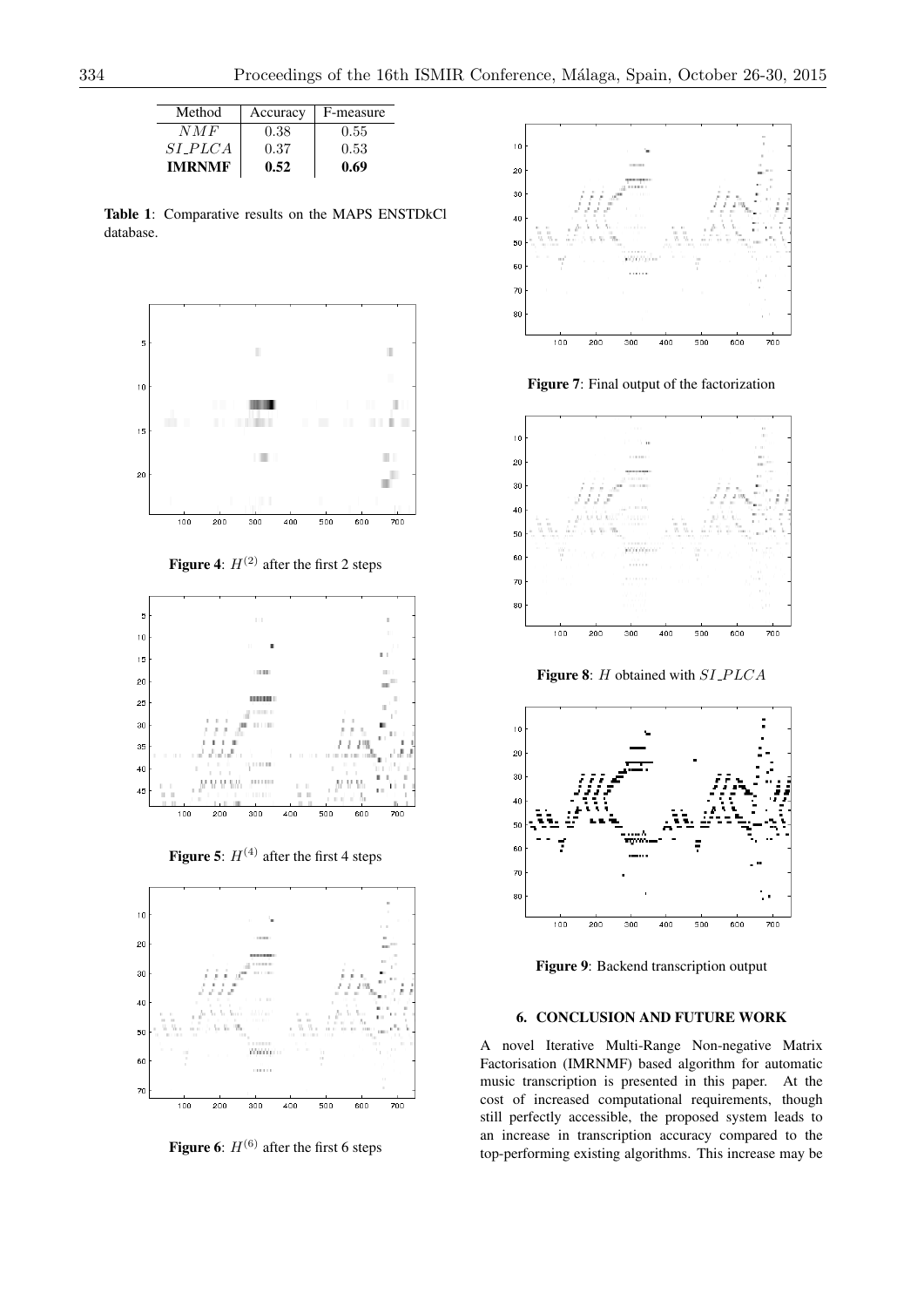| Method         | Accuracy | F-measure |
|----------------|----------|-----------|
| NMF            | 0.38     | 0.55      |
| <i>SI_PLCA</i> | 0.37     | 0.53      |
| IMRNMF         | 0.52     | 0.69      |

Table 1: Comparative results on the MAPS ENSTDkCl database.



**Figure 4:**  $H^{(2)}$  after the first 2 steps



Figure 5:  $H^{(4)}$  after the first 4 steps



Figure 6:  $H^{(6)}$  after the first 6 steps



Figure 7: Final output of the factorization



Figure 8: *H* obtained with *SI P LCA*



Figure 9: Backend transcription output

# 6. CONCLUSION AND FUTURE WORK

A novel Iterative Multi-Range Non-negative Matrix Factorisation (IMRNMF) based algorithm for automatic music transcription is presented in this paper. At the cost of increased computational requirements, though still perfectly accessible, the proposed system leads to an increase in transcription accuracy compared to the top-performing existing algorithms. This increase may be